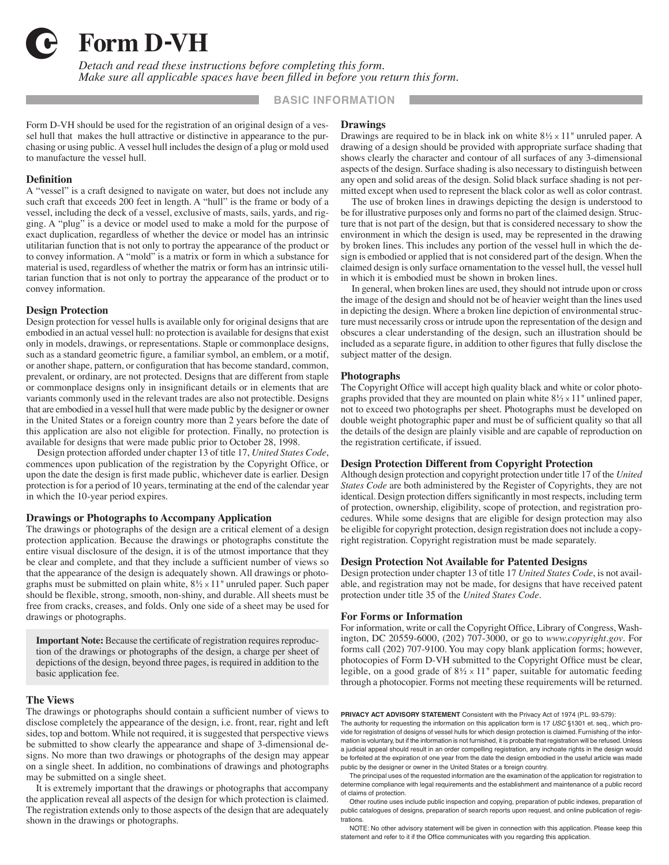

4 **Form D-VH**

*Detach and read these instructions before completing this form. Make sure all applicable spaces have been filled in before you return this form.*

### **BASIC INFORMATION**

Form D-VH should be used for the registration of an original design of a vessel hull that makes the hull attractive or distinctive in appearance to the purchasing or using public. A vessel hull includes the design of a plug or mold used to manufacture the vessel hull.

### **Definition**

A "vessel" is a craft designed to navigate on water, but does not include any such craft that exceeds 200 feet in length. A "hull" is the frame or body of a vessel, including the deck of a vessel, exclusive of masts, sails, yards, and rigging. A "plug" is a device or model used to make a mold for the purpose of exact duplication, regardless of whether the device or model has an intrinsic utilitarian function that is not only to portray the appearance of the product or to convey information. A "mold" is a matrix or form in which a substance for material is used, regardless of whether the matrix or form has an intrinsic utilitarian function that is not only to portray the appearance of the product or to convey information.

### **Design Protection**

Design protection for vessel hulls is available only for original designs that are embodied in an actual vessel hull: no protection is available for designs that exist only in models, drawings, or representations. Staple or commonplace designs, such as a standard geometric figure, a familiar symbol, an emblem, or a motif, or another shape, pattern, or configuration that has become standard, common, prevalent, or ordinary, are not protected. Designs that are different from staple or commonplace designs only in insignificant details or in elements that are variants commonly used in the relevant trades are also not protectible. Designs that are embodied in a vessel hull that were made public by the designer or owner in the United States or a foreign country more than 2 years before the date of this application are also not eligible for protection. Finally, no protection is available for designs that were made public prior to October 28, 1998.

Design protection afforded under chapter 13 of title 17, *United States Code*, commences upon publication of the registration by the Copyright Office, or upon the date the design is first made public, whichever date is earlier. Design protection is for a period of 10 years, terminating at the end of the calendar year in which the 10-year period expires.

#### **Drawings or Photographs to Accompany Application**

The drawings or photographs of the design are a critical element of a design protection application. Because the drawings or photographs constitute the entire visual disclosure of the design, it is of the utmost importance that they be clear and complete, and that they include a sufficient number of views so that the appearance of the design is adequately shown. All drawings or photographs must be submitted on plain white, 8**<sup>1</sup>** ⁄**<sup>2</sup>** x 11*"* unruled paper. Such paper should be flexible, strong, smooth, non-shiny, and durable. All sheets must be free from cracks, creases, and folds. Only one side of a sheet may be used for drawings or photographs.

**Important Note:** Because the certificate of registration requires reproduction of the drawings or photographs of the design, a charge per sheet of depictions of the design, beyond three pages, is required in addition to the basic application fee.

### **The Views**

The drawings or photographs should contain a sufficient number of views to disclose completely the appearance of the design, i.e. front, rear, right and left sides, top and bottom. While not required, it is suggested that perspective views be submitted to show clearly the appearance and shape of 3-dimensional designs. No more than two drawings or photographs of the design may appear on a single sheet. In addition, no combinations of drawings and photographs may be submitted on a single sheet.

It is extremely important that the drawings or photographs that accompany the application reveal all aspects of the design for which protection is claimed. The registration extends only to those aspects of the design that are adequately shown in the drawings or photographs.

### **Drawings**

Drawings are required to be in black ink on white 8**<sup>1</sup>** ⁄**<sup>2</sup>** x 11*"* unruled paper. A drawing of a design should be provided with appropriate surface shading that shows clearly the character and contour of all surfaces of any 3-dimensional aspects of the design. Surface shading is also necessary to distinguish between any open and solid areas of the design. Solid black surface shading is not permitted except when used to represent the black color as well as color contrast.

The use of broken lines in drawings depicting the design is understood to be for illustrative purposes only and forms no part of the claimed design. Structure that is not part of the design, but that is considered necessary to show the environment in which the design is used, may be represented in the drawing by broken lines. This includes any portion of the vessel hull in which the design is embodied or applied that is not considered part of the design. When the claimed design is only surface ornamentation to the vessel hull, the vessel hull in which it is embodied must be shown in broken lines.

In general, when broken lines are used, they should not intrude upon or cross the image of the design and should not be of heavier weight than the lines used in depicting the design. Where a broken line depiction of environmental structure must necessarily cross or intrude upon the representation of the design and obscures a clear understanding of the design, such an illustration should be included as a separate figure, in addition to other figures that fully disclose the subject matter of the design.

#### **Photographs**

The Copyright Office will accept high quality black and white or color photographs provided that they are mounted on plain white 8**<sup>1</sup>** ⁄**<sup>2</sup>** x 11*"* unlined paper, not to exceed two photographs per sheet. Photographs must be developed on double weight photographic paper and must be of sufficient quality so that all the details of the design are plainly visible and are capable of reproduction on the registration certificate, if issued.

### **Design Protection Different from Copyright Protection**

Although design protection and copyright protection under title 17 of the *United States Code* are both administered by the Register of Copyrights, they are not identical. Design protection differs significantly in most respects, including term of protection, ownership, eligibility, scope of protection, and registration procedures. While some designs that are eligible for design protection may also be eligible for copyright protection, design registration does not include a copyright registration. Copyright registration must be made separately.

### **Design Protection Not Available for Patented Designs**

Design protection under chapter 13 of title 17 *United States Code*, is not available, and registration may not be made, for designs that have received patent protection under title 35 of the *United States Code*.

#### **For Forms or Information**

For information, write or call the Copyright Office, Library of Congress, Washington, DC 20559-6000, (202) 707-3000, or go to *www.copyright.gov*. For forms call (202) 707-9100. You may copy blank application forms; however, photocopies of Form D-VH submitted to the Copyright Office must be clear, legible, on a good grade of 8**<sup>1</sup>** ⁄**<sup>2</sup>** x 11*"* paper, suitable for automatic feeding through a photocopier. Forms not meeting these requirements will be returned.

**PRIVACY ACT ADVISORY STATEMENT** Consistent with the Privacy Act of 1974 (P.L. 93-579):

The authority for requesting the information on this application form is 17 USC §1301 et. seq., which provide for registration of designs of vessel hulls for which design protection is claimed. Furnishing of the information is voluntary, but if the information is not furnished, it is probable that registration will be refused. Unless a judicial appeal should result in an order compelling registration, any inchoate rights in the design would be forfeited at the expiration of one year from the date the design embodied in the useful article was made public by the designer or owner in the United States or a foreign country.

The principal uses of the requested information are the examination of the application for registration to determine compliance with legal requirements and the establishment and maintenance of a public record of claims of protection.

Other routine uses include public inspection and copying, preparation of public indexes, preparation of public catalogues of designs, preparation of search reports upon request, and online publication of registrations.

NOTE: No other advisory statement will be given in connection with this application. Please keep this statement and refer to it if the Office communicates with you regarding this application.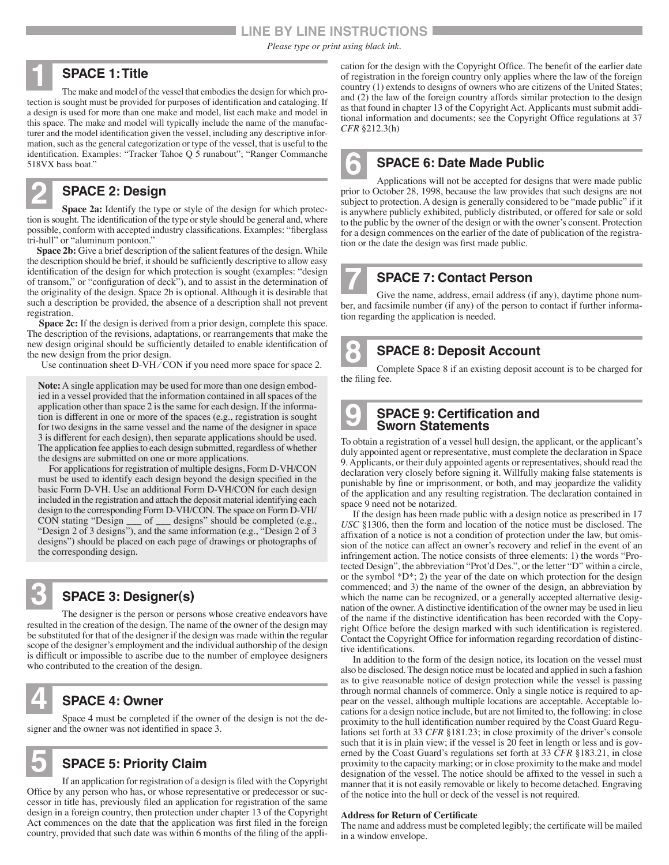## **LINE BY LINE INSTRUCTIONS**

*Please type or print using black ink.*

**6**

**9**

### **SPACE 1: Title**

The make and model of the vessel that embodies the design for which protection is sought must be provided for purposes of identification and cataloging. If a design is used for more than one make and model, list each make and model in this space. The make and model will typically include the name of the manufacturer and the model identification given the vessel, including any descriptive information, such as the general categorization or type of the vessel, that is useful to the identification. Examples: "Tracker Tahoe Q 5 runabout"; "Ranger Commanche 518VX bass boat." **1**

# **SPACE 2: Design**

**Space 2a:** Identify the type or style of the design for which protection is sought. The identification of the type or style should be general and, where possible, conform with accepted industry classifications. Examples: "fiberglass tri-hull" or "aluminum pontoon." **2**

**Space 2b:** Give a brief description of the salient features of the design. While the description should be brief, it should be sufficiently descriptive to allow easy identification of the design for which protection is sought (examples: "design of transom," or "configuration of deck"), and to assist in the determination of the originality of the design. Space 2b is optional. Although it is desirable that such a description be provided, the absence of a description shall not prevent registration.

**Space 2c:** If the design is derived from a prior design, complete this space. The description of the revisions, adaptations, or rearrangements that make the new design original should be sufficiently detailed to enable identification of the new design from the prior design.

Use continuation sheet D-VH/CON if you need more space for space 2.

**Note:** A single application may be used for more than one design embodied in a vessel provided that the information contained in all spaces of the application other than space 2 is the same for each design. If the information is different in one or more of the spaces (e.g., registration is sought for two designs in the same vessel and the name of the designer in space 3 is different for each design), then separate applications should be used. The application fee applies to each design submitted, regardless of whether the designs are submitted on one or more applications.

For applications for registration of multiple designs, Form D-VH/CON must be used to identify each design beyond the design specified in the basic Form D-VH. Use an additional Form D-VH/CON for each design included in the registration and attach the deposit material identifying each design to the corresponding Form D-VH/CON. The space on Form D-VH/ CON stating "Design \_\_\_ of \_\_\_ designs" should be completed (e.g., "Design 2 of 3 designs"), and the same information (e.g., "Design 2 of 3 designs") should be placed on each page of drawings or photographs of the corresponding design.

# **SPACE 3: Designer(s)**

The designer is the person or persons whose creative endeavors have resulted in the creation of the design. The name of the owner of the design may be substituted for that of the designer if the design was made within the regular scope of the designer's employment and the individual authorship of the design is difficult or impossible to ascribe due to the number of employee designers who contributed to the creation of the design. **3**

### **SPACE 4: Owner**

Space 4 must be completed if the owner of the design is not the designer and the owner was not identified in space 3. **4**



## **SPACE 5: Priority Claim**

If an application for registration of a design is filed with the Copyright Office by any person who has, or whose representative or predecessor or successor in title has, previously filed an application for registration of the same design in a foreign country, then protection under chapter 13 of the Copyright Act commences on the date that the application was first filed in the foreign country, provided that such date was within 6 months of the filing of the application for the design with the Copyright Office. The benefit of the earlier date of registration in the foreign country only applies where the law of the foreign country (1) extends to designs of owners who are citizens of the United States; and (2) the law of the foreign country affords similar protection to the design as that found in chapter 13 of the Copyright Act. Applicants must submit additional information and documents; see the Copyright Office regulations at 37 *CFR* §212.3(h)

# **SPACE 6: Date Made Public**

Applications will not be accepted for designs that were made public prior to October 28, 1998, because the law provides that such designs are not subject to protection. A design is generally considered to be "made public" if it is anywhere publicly exhibited, publicly distributed, or offered for sale or sold to the public by the owner of the design or with the owner's consent. Protection for a design commences on the earlier of the date of publication of the registration or the date the design was first made public.

# **SPACE 7: Contact Person**

Give the name, address, email address (if any), daytime phone number, and facsimile number (if any) of the person to contact if further information regarding the application is needed. **7**

**SPACE 8: Deposit Account**

Complete Space 8 if an existing deposit account is to be charged for the filing fee. **8**

### **SPACE 9: Certification and Sworn Statements**

To obtain a registration of a vessel hull design, the applicant, or the applicant's duly appointed agent or representative, must complete the declaration in Space 9. Applicants, or their duly appointed agents or representatives, should read the declaration very closely before signing it. Willfully making false statements is punishable by fine or imprisonment, or both, and may jeopardize the validity of the application and any resulting registration. The declaration contained in space 9 need not be notarized.

If the design has been made public with a design notice as prescribed in 17 *USC* §1306, then the form and location of the notice must be disclosed. The affixation of a notice is not a condition of protection under the law, but omission of the notice can affect an owner's recovery and relief in the event of an infringement action. The notice consists of three elements: 1) the words "Protected Design", the abbreviation "Prot'd Des.", or the letter "D" within a circle, or the symbol \*D\*; 2) the year of the date on which protection for the design commenced; and 3) the name of the owner of the design, an abbreviation by which the name can be recognized, or a generally accepted alternative designation of the owner. A distinctive identification of the owner may be used in lieu of the name if the distinctive identification has been recorded with the Copyright Office before the design marked with such identification is registered. Contact the Copyright Office for information regarding recordation of distinctive identifications.

In addition to the form of the design notice, its location on the vessel must also be disclosed. The design notice must be located and applied in such a fashion as to give reasonable notice of design protection while the vessel is passing through normal channels of commerce. Only a single notice is required to appear on the vessel, although multiple locations are acceptable. Acceptable locations for a design notice include, but are not limited to, the following: in close proximity to the hull identification number required by the Coast Guard Regulations set forth at 33 *CFR* §181.23; in close proximity of the driver's console such that it is in plain view; if the vessel is 20 feet in length or less and is governed by the Coast Guard's regulations set forth at 33 *CFR* §183.21, in close proximity to the capacity marking; or in close proximity to the make and model designation of the vessel. The notice should be affixed to the vessel in such a manner that it is not easily removable or likely to become detached. Engraving of the notice into the hull or deck of the vessel is not required.

### **Address for Return of Certificate**

The name and address must be completed legibly; the certificate will be mailed in a window envelope.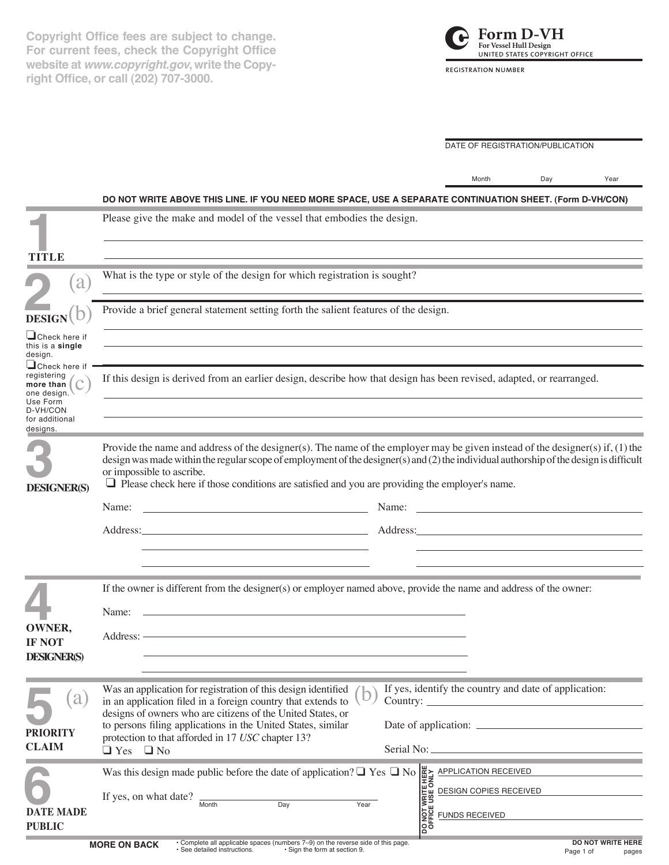**Copyright Office fees are subject to change. For current fees, check the Copyright Office website at** *www.copyright.gov***, write the Copyright Office, or call (202) 707-3000.**



DATE OF REGISTRATION/PUBLICATION

|                                                                                                   |                                                                                                                                                                                                                                                                                                                                                                                                                 | Month                                                                                                                                                                                                                          | Day | Year |  |
|---------------------------------------------------------------------------------------------------|-----------------------------------------------------------------------------------------------------------------------------------------------------------------------------------------------------------------------------------------------------------------------------------------------------------------------------------------------------------------------------------------------------------------|--------------------------------------------------------------------------------------------------------------------------------------------------------------------------------------------------------------------------------|-----|------|--|
|                                                                                                   | DO NOT WRITE ABOVE THIS LINE. IF YOU NEED MORE SPACE, USE A SEPARATE CONTINUATION SHEET. (Form D-VH/CON)                                                                                                                                                                                                                                                                                                        |                                                                                                                                                                                                                                |     |      |  |
|                                                                                                   | Please give the make and model of the vessel that embodies the design.                                                                                                                                                                                                                                                                                                                                          |                                                                                                                                                                                                                                |     |      |  |
| TITLE                                                                                             |                                                                                                                                                                                                                                                                                                                                                                                                                 |                                                                                                                                                                                                                                |     |      |  |
| $\alpha$                                                                                          | What is the type or style of the design for which registration is sought?                                                                                                                                                                                                                                                                                                                                       |                                                                                                                                                                                                                                |     |      |  |
| <b>DESIGN</b>                                                                                     | Provide a brief general statement setting forth the salient features of the design.<br><u> 1989 - Johann Stoff, amerikansk politiker (d. 1989)</u>                                                                                                                                                                                                                                                              |                                                                                                                                                                                                                                |     |      |  |
| $\Box$ Check here if<br>this is a single<br>design.<br>$\Box$ Check here if                       |                                                                                                                                                                                                                                                                                                                                                                                                                 |                                                                                                                                                                                                                                |     |      |  |
| registering<br>more than $ $<br>one design.<br>Use Form<br>D-VH/CON<br>for additional<br>designs. | If this design is derived from an earlier design, describe how that design has been revised, adapted, or rearranged.                                                                                                                                                                                                                                                                                            |                                                                                                                                                                                                                                |     |      |  |
| <b>DESIGNER(S)</b>                                                                                | Provide the name and address of the designer(s). The name of the employer may be given instead of the designer(s) if, $(1)$ the<br>design was made within the regular scope of employment of the designer(s) and (2) the individual authorship of the design is difficult<br>or impossible to ascribe.<br>$\Box$ Please check here if those conditions are satisfied and you are providing the employer's name. |                                                                                                                                                                                                                                |     |      |  |
|                                                                                                   | Name:<br><u> 1989 - Johann Barn, mars and de Branch Barn, mars and de Branch Barn, mars and de Branch Barn, mars and de Br</u>                                                                                                                                                                                                                                                                                  |                                                                                                                                                                                                                                |     |      |  |
|                                                                                                   | Address: No. 1998. The Contract of the Contract of the Contract of the Contract of the Contract of the Contract of the Contract of the Contract of the Contract of the Contract of the Contract of the Contract of the Contrac                                                                                                                                                                                  | Address: Analysis and the state of the state of the state of the state of the state of the state of the state of the state of the state of the state of the state of the state of the state of the state of the state of the s |     |      |  |
|                                                                                                   | If the owner is different from the designer(s) or employer named above, provide the name and address of the owner:<br>Name:                                                                                                                                                                                                                                                                                     |                                                                                                                                                                                                                                |     |      |  |
| <b>OWNER,</b><br><b>IF NOT</b><br><b>DESIGNER(S)</b>                                              | Address: -                                                                                                                                                                                                                                                                                                                                                                                                      |                                                                                                                                                                                                                                |     |      |  |
| a<br><b>PRIORITY</b><br><b>CLAIM</b>                                                              | Was an application for registration of this design identified<br>in an application filed in a foreign country that extends to<br>designs of owners who are citizens of the United States, or<br>to persons filing applications in the United States, similar<br>protection to that afforded in 17 USC chapter 13?<br>Serial No: _<br>$\Box$ Yes $\Box$ No                                                       | If yes, identify the country and date of application:                                                                                                                                                                          |     |      |  |
| <b>DATE MADE</b><br><b>PUBLIC</b>                                                                 | Was this design made public before the date of application? $\Box$ Yes $\Box$ No $\frac{d\frac{d\mathbf{v}}{d\mathbf{v}}}{d\mathbf{v}}$ APPLICATION RECEIVED<br>If yes, on what date? $\frac{d\mathbf{v}}{d\mathbf{v}}$ Month Day Year<br>Month Day Year<br>Day Year<br>Day Year                                                                                                                                | <b>DESIGN COPIES RECEIVED</b>                                                                                                                                                                                                  |     |      |  |

ш